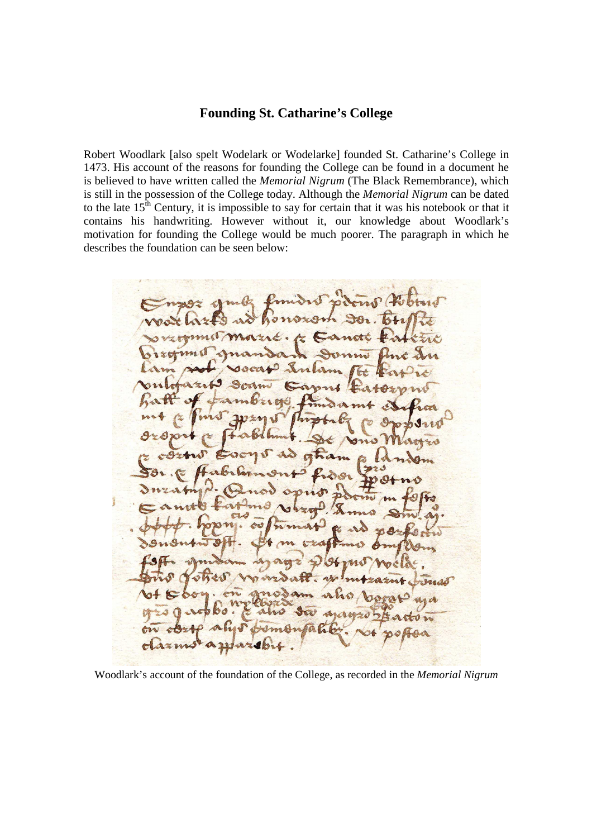## **Founding St. Catharine's College**

Robert Woodlark [also spelt Wodelark or Wodelarke] founded St. Catharine's College in 1473. His account of the reasons for founding the College can be found in a document he is believed to have written called the *Memorial Nigrum* (The Black Remembrance), which is still in the possession of the College today. Although the *Memorial Nigrum* can be dated to the late  $15<sup>th</sup>$  Century, it is impossible to say for certain that it was his notebook or that it contains his handwriting. However without it, our knowledge about Woodlark's motivation for founding the College would be much poorer. The paragraph in which he describes the foundation can be seen below:

 $\overline{A}$ soften is 646 196 as elsse

Woodlark's account of the foundation of the College, as recorded in the *Memorial Nigrum*